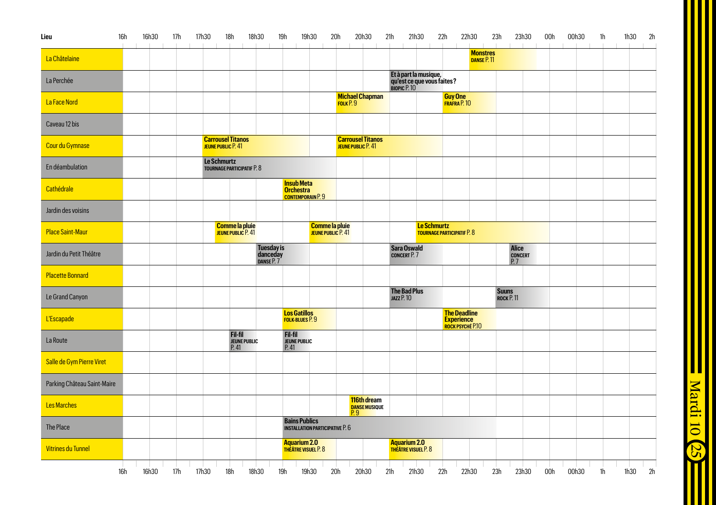|  | $\sim$ | $\pm$           |                                                               |                                                                                                  |                                      |                                                                                                                                                       | 20h30                                                                          | 21h                                                                                                                   | 21h30 | 22h<br>$\mathbb{R}$                                                                                            | 22h30                         | 23h                                                                                                                                                                                                | 23h30<br>$\mathbb{R}$ | 00h<br>$\sim$             | 00h30<br>$\mathbf{L}$ | 1h<br>1h30<br>$\sim$<br>$\sim$ | 2h |
|--|--------|-----------------|---------------------------------------------------------------|--------------------------------------------------------------------------------------------------|--------------------------------------|-------------------------------------------------------------------------------------------------------------------------------------------------------|--------------------------------------------------------------------------------|-----------------------------------------------------------------------------------------------------------------------|-------|----------------------------------------------------------------------------------------------------------------|-------------------------------|----------------------------------------------------------------------------------------------------------------------------------------------------------------------------------------------------|-----------------------|---------------------------|-----------------------|--------------------------------|----|
|  |        |                 |                                                               |                                                                                                  |                                      |                                                                                                                                                       |                                                                                |                                                                                                                       |       |                                                                                                                | <b>Monstres</b><br>DANSE P.11 |                                                                                                                                                                                                    |                       |                           |                       |                                |    |
|  |        |                 |                                                               |                                                                                                  |                                      |                                                                                                                                                       |                                                                                |                                                                                                                       |       |                                                                                                                |                               |                                                                                                                                                                                                    |                       |                           |                       |                                |    |
|  |        |                 |                                                               |                                                                                                  |                                      |                                                                                                                                                       |                                                                                |                                                                                                                       |       |                                                                                                                |                               |                                                                                                                                                                                                    |                       |                           |                       |                                |    |
|  |        |                 |                                                               |                                                                                                  |                                      |                                                                                                                                                       |                                                                                |                                                                                                                       |       |                                                                                                                |                               |                                                                                                                                                                                                    |                       |                           |                       |                                |    |
|  |        |                 |                                                               |                                                                                                  |                                      |                                                                                                                                                       |                                                                                |                                                                                                                       |       |                                                                                                                |                               |                                                                                                                                                                                                    |                       |                           |                       |                                |    |
|  |        |                 |                                                               |                                                                                                  |                                      |                                                                                                                                                       |                                                                                |                                                                                                                       |       |                                                                                                                |                               |                                                                                                                                                                                                    |                       |                           |                       |                                |    |
|  |        |                 |                                                               | <b>Insub Meta</b><br><b>Orchestra</b>                                                            |                                      |                                                                                                                                                       |                                                                                |                                                                                                                       |       |                                                                                                                |                               |                                                                                                                                                                                                    |                       |                           |                       |                                |    |
|  |        |                 |                                                               |                                                                                                  |                                      |                                                                                                                                                       |                                                                                |                                                                                                                       |       |                                                                                                                |                               |                                                                                                                                                                                                    |                       |                           |                       |                                |    |
|  |        |                 |                                                               |                                                                                                  |                                      |                                                                                                                                                       |                                                                                |                                                                                                                       |       |                                                                                                                |                               |                                                                                                                                                                                                    |                       |                           |                       |                                |    |
|  |        |                 |                                                               |                                                                                                  |                                      |                                                                                                                                                       |                                                                                |                                                                                                                       |       |                                                                                                                |                               |                                                                                                                                                                                                    | Alice                 |                           |                       |                                |    |
|  |        |                 |                                                               |                                                                                                  |                                      |                                                                                                                                                       |                                                                                |                                                                                                                       |       |                                                                                                                |                               |                                                                                                                                                                                                    |                       |                           |                       |                                |    |
|  |        |                 |                                                               |                                                                                                  |                                      |                                                                                                                                                       |                                                                                | JAZZ P. 10                                                                                                            |       |                                                                                                                |                               |                                                                                                                                                                                                    |                       |                           |                       |                                |    |
|  |        |                 |                                                               |                                                                                                  |                                      |                                                                                                                                                       |                                                                                |                                                                                                                       |       |                                                                                                                |                               |                                                                                                                                                                                                    |                       |                           |                       |                                |    |
|  |        | Fil-fil<br>P.41 |                                                               | <b>Fil-fil</b><br><b>JEUNE PUBLIC</b><br>P.41                                                    |                                      |                                                                                                                                                       |                                                                                |                                                                                                                       |       |                                                                                                                |                               |                                                                                                                                                                                                    |                       |                           |                       |                                |    |
|  |        |                 |                                                               |                                                                                                  |                                      |                                                                                                                                                       |                                                                                |                                                                                                                       |       |                                                                                                                |                               |                                                                                                                                                                                                    |                       |                           |                       |                                |    |
|  |        |                 |                                                               |                                                                                                  |                                      |                                                                                                                                                       |                                                                                |                                                                                                                       |       |                                                                                                                |                               |                                                                                                                                                                                                    |                       |                           |                       |                                |    |
|  |        |                 |                                                               |                                                                                                  |                                      | P.9                                                                                                                                                   |                                                                                |                                                                                                                       |       |                                                                                                                |                               |                                                                                                                                                                                                    |                       |                           |                       |                                |    |
|  |        |                 |                                                               |                                                                                                  |                                      |                                                                                                                                                       |                                                                                |                                                                                                                       |       |                                                                                                                |                               |                                                                                                                                                                                                    |                       |                           |                       |                                |    |
|  |        |                 |                                                               |                                                                                                  |                                      |                                                                                                                                                       |                                                                                |                                                                                                                       |       |                                                                                                                |                               |                                                                                                                                                                                                    |                       |                           |                       |                                |    |
|  |        |                 | <b>Carrousel Titanos</b><br>JEUNE PUBLIC P. 41<br>Le Schmurtz | <b>TOURNAGE PARTICIPATIF P. 8</b><br>Comme la pluie<br>JEUNE PUBLIC P. 41<br><b>JEUNE PUBLIC</b> | Tuesday is<br>danceday<br>panse P. 7 | <b>CONTEMPORAIN P. 9</b><br><b>Los Gatillos</b><br><b>FOLK-BLUES P.9</b><br><b>Bains Publics</b><br><b>Aquarium 2.0</b><br><b>THEATRE VISUEL P. 8</b> | Comme la pluie<br>JEUNE PUBLIC P. 41<br><b>INSTALLATION PARTICIPATIVE P. 6</b> | Michael Chapman<br>FOLK P. 9<br><b>Carrousel Titanos</b><br>JEUNE PUBLIC P. 41<br>116th dream<br><b>DANSE MUSIQUE</b> |       | Sara Oswald<br><b>CONCERT P. 7</b><br><b>The Bad Plus</b><br><b>Aquarium 2.0</b><br><b>THEATRE VISUEL P. 8</b> | Le Schmurtz                   | Et à part la musique,<br>qu'est ce que vous faites?<br>вюріс Р. 10<br>Guy One<br>FRAFRA P. 10<br><b>TOURNAGE PARTICIPATIF P. 8</b><br><b>The Deadline</b><br><b>Experience</b><br>ROCK PSYCHÉ P.10 |                       | <b>Suuns</b><br>ROCK P.11 | CONCERT<br>P. 7       |                                |    |

Mardi 10 25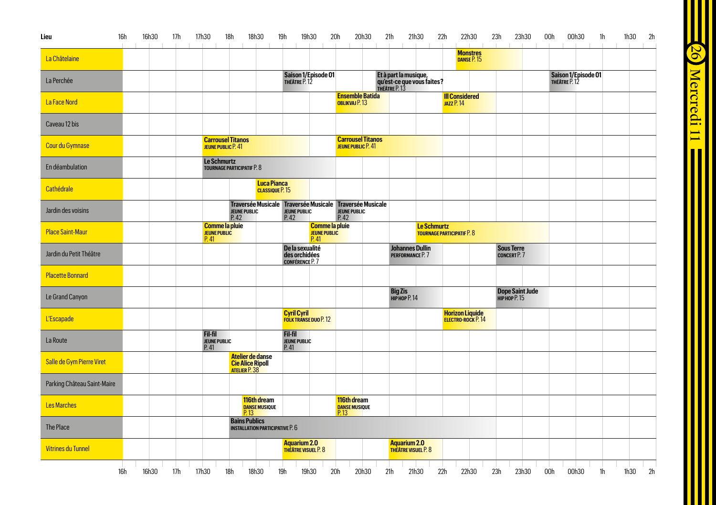| Lieu                        | 16h | 16h30 | 17h | 17h30                                         | 18h                                                          | 18h30                                       | 19h<br>19h30                                               | 20h                                           | 20h30                                                                             | 21h                                                 | 21h30       | 22h<br>22h30                                       | 23h | 23h30                                         | 00h | 00h30                                | 1h | 1h30 | 2h |
|-----------------------------|-----|-------|-----|-----------------------------------------------|--------------------------------------------------------------|---------------------------------------------|------------------------------------------------------------|-----------------------------------------------|-----------------------------------------------------------------------------------|-----------------------------------------------------|-------------|----------------------------------------------------|-----|-----------------------------------------------|-----|--------------------------------------|----|------|----|
| La Châtelaine               |     |       |     |                                               |                                                              |                                             |                                                            |                                               |                                                                                   |                                                     |             | <b>Monstres</b><br>DANSE P. 15                     |     |                                               |     |                                      |    |      |    |
| La Perchée                  |     |       |     |                                               |                                                              |                                             | Saison 1/Episode 01<br>THÉÂTRE P. 12                       |                                               |                                                                                   | Et à part la musique,<br>qu'est-ce que vous faites? |             |                                                    |     |                                               |     | Saison 1/Episode 01<br>THÉÂTRE P. 12 |    |      |    |
| La Face Nord                |     |       |     |                                               |                                                              |                                             |                                                            |                                               | <b>Ensemble Batida</b><br>OBLIKVAJ P. 13                                          |                                                     |             | <b>III Considered</b><br><b>JAZZ P.14</b>          |     |                                               |     |                                      |    |      |    |
| Caveau 12 bis               |     |       |     |                                               |                                                              |                                             |                                                            |                                               |                                                                                   |                                                     |             |                                                    |     |                                               |     |                                      |    |      |    |
| Cour du Gymnase             |     |       |     |                                               | <b>Carrousel Titanos</b><br>JEUNE PUBLIC P. 41               |                                             |                                                            |                                               | <b>Carrousel Titanos</b><br>JEUNE PUBLIC P. 41                                    |                                                     |             |                                                    |     |                                               |     |                                      |    |      |    |
| En déambulation             |     |       |     | Le Schmurtz                                   | <b>TOURNAGE PARTICIPATIF P. 8</b>                            |                                             |                                                            |                                               |                                                                                   |                                                     |             |                                                    |     |                                               |     |                                      |    |      |    |
| Cathédrale                  |     |       |     |                                               |                                                              | <b>Luca Pianca</b><br><b>CLASSIQUE P.15</b> |                                                            |                                               |                                                                                   |                                                     |             |                                                    |     |                                               |     |                                      |    |      |    |
| Jardin des voisins          |     |       |     |                                               | JEUNE PUBLIC<br>P. 42                                        |                                             | <b>JEUNE PUBLIC</b><br>P.42                                |                                               | Traversée Musicale Traversée Musicale Traversée Musicale<br>JEUNE PUBLIC<br>P. 42 |                                                     |             |                                                    |     |                                               |     |                                      |    |      |    |
| <b>Place Saint-Maur</b>     |     |       |     | <b>JEUNE PUBLIC</b><br>P.41                   | Comme la pluie                                               |                                             |                                                            | <b>Comme la pluie</b><br>JEUNE PUBLIC<br>P.41 |                                                                                   |                                                     | Le Schmurtz | <b>TOURNAGE PARTICIPATIF P. 8</b>                  |     |                                               |     |                                      |    |      |    |
| Jardin du Petit Théâtre     |     |       |     |                                               |                                                              |                                             | De la sexualité<br>des orchidées<br><b>CONFÉRENCE P. 7</b> |                                               |                                                                                   | <b>Johannes Dullin</b><br>PERFORMANCE P. 7          |             |                                                    |     | <b>Sous Terre</b><br><b>CONCERT P. 7</b>      |     |                                      |    |      |    |
| <b>Placette Bonnard</b>     |     |       |     |                                               |                                                              |                                             |                                                            |                                               |                                                                                   |                                                     |             |                                                    |     |                                               |     |                                      |    |      |    |
| Le Grand Canyon             |     |       |     |                                               |                                                              |                                             |                                                            |                                               |                                                                                   | <b>Big Zis</b><br><b>НІРНОР Р. 14</b>               |             |                                                    |     | <b>Dope Saint Jude</b><br><b>НІРНОР Р. 15</b> |     |                                      |    |      |    |
| <b>L'Escapade</b>           |     |       |     |                                               |                                                              |                                             | <b>Cyril Cyril</b><br><b>FOLK TRANSE DUO P. 12</b>         |                                               |                                                                                   |                                                     |             | <b>Horizon Liquide</b><br><b>ELECTRO-ROCK P.14</b> |     |                                               |     |                                      |    |      |    |
| La Route                    |     |       |     | <b>Fil-fil</b><br><b>JEUNE PUBLIC</b><br>P.41 |                                                              |                                             | Fil-fil<br><b>JEUNE PUBLIC</b><br>P.41                     |                                               |                                                                                   |                                                     |             |                                                    |     |                                               |     |                                      |    |      |    |
| Salle de Gym Pierre Viret   |     |       |     |                                               | Atelier de danse<br><b>Cie Alice Ripoll</b><br>ATELIER P. 38 |                                             |                                                            |                                               |                                                                                   |                                                     |             |                                                    |     |                                               |     |                                      |    |      |    |
| Parking Château Saint-Maire |     |       |     |                                               |                                                              |                                             |                                                            |                                               |                                                                                   |                                                     |             |                                                    |     |                                               |     |                                      |    |      |    |
| <b>Les Marches</b>          |     |       |     |                                               |                                                              | 116th dream<br>DANSE MUSIQUE<br>P. 13       |                                                            |                                               | 116th dream<br><b>DANSE MUSIQUE</b><br>P.13                                       |                                                     |             |                                                    |     |                                               |     |                                      |    |      |    |
| The Place                   |     |       |     |                                               | <b>Bains Publics</b>                                         | <b>INSTALLATION PARTICIPATIVE P. 6</b>      |                                                            |                                               |                                                                                   |                                                     |             |                                                    |     |                                               |     |                                      |    |      |    |
| <b>Vitrines du Tunnel</b>   |     |       |     |                                               |                                                              |                                             | Aquarium 2.0<br><b>THÉÂTRE VISUEL P. 8</b>                 |                                               |                                                                                   | Aguarium 2.0<br><b>THÉÂTRE VISUEL P. 8</b>          |             |                                                    |     |                                               |     |                                      |    |      |    |

26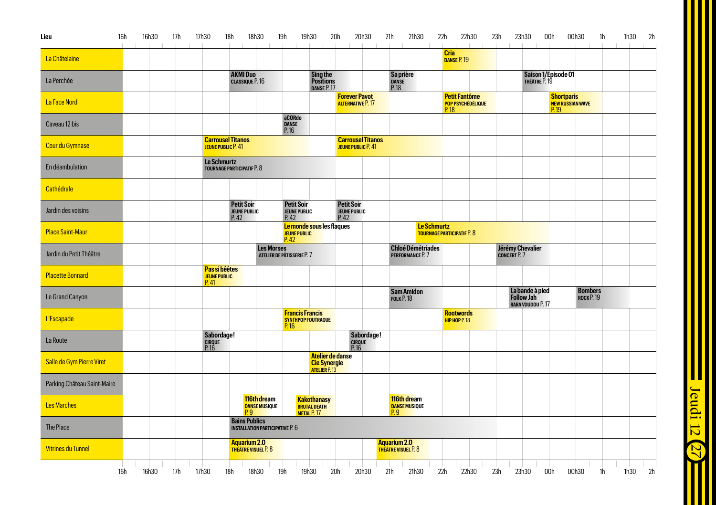| Lieu                        | 16h | 16h30 | 17h | 17h30                                        | 18h                                              | 18h30                                  | 19h<br>19h30                                             | 20h                                                     | 20h30                                            |            | 21h<br>21h30                                              |                    | 22h                                                      | 22h30 | 23h                                        | 23h30                                              | 00h                                                  | 00h30                                  | 1 <sup>h</sup> | 2h<br>1h30 |
|-----------------------------|-----|-------|-----|----------------------------------------------|--------------------------------------------------|----------------------------------------|----------------------------------------------------------|---------------------------------------------------------|--------------------------------------------------|------------|-----------------------------------------------------------|--------------------|----------------------------------------------------------|-------|--------------------------------------------|----------------------------------------------------|------------------------------------------------------|----------------------------------------|----------------|------------|
| La Châtelaine               |     |       |     |                                              |                                                  |                                        |                                                          |                                                         |                                                  |            |                                                           |                    | Cria<br>DANSE P. 19                                      |       |                                            |                                                    |                                                      |                                        |                |            |
| La Perchée                  |     |       |     |                                              | <b>AKMI Duo</b><br><b>CLASSIQUE P. 16</b>        |                                        |                                                          | <b>Sing the<br/>Positions</b><br>DANSE P.17             |                                                  |            | Sa prière<br><b>DANSE</b><br>P. 18                        |                    |                                                          |       |                                            | Saison 1/Episode 01<br>THÉÂTRE P. 19               |                                                      |                                        |                |            |
| La Face Nord                |     |       |     |                                              |                                                  |                                        |                                                          |                                                         | <b>Forever Pavot</b><br><b>ALTERNATIVE P.17</b>  |            |                                                           |                    | <b>Petit Fantôme</b><br><b>POP PSYCHÉDÉLIQUE</b><br>P.18 |       |                                            |                                                    | <b>Shortparis</b><br><b>NEW RUSSIAN WAVE</b><br>P.19 |                                        |                |            |
| Caveau 12 bis               |     |       |     |                                              |                                                  |                                        | aCORdo<br><b>DANSE</b><br>P.16                           |                                                         |                                                  |            |                                                           |                    |                                                          |       |                                            |                                                    |                                                      |                                        |                |            |
| Cour du Gymnase             |     |       |     | JEUNE PUBLIC P. 41                           | <b>Carrousel Titanos</b>                         |                                        |                                                          |                                                         | <b>Carrousel Titanos</b><br>JEUNE PUBLIC P. 41   |            |                                                           |                    |                                                          |       |                                            |                                                    |                                                      |                                        |                |            |
| En déambulation             |     |       |     | <b>Le Schmurtz</b>                           | <b>TOURNAGE PARTICIPATIF P. 8</b>                |                                        |                                                          |                                                         |                                                  |            |                                                           |                    |                                                          |       |                                            |                                                    |                                                      |                                        |                |            |
| Cathédrale                  |     |       |     |                                              |                                                  |                                        |                                                          |                                                         |                                                  |            |                                                           |                    |                                                          |       |                                            |                                                    |                                                      |                                        |                |            |
| Jardin des voisins          |     |       |     |                                              | <b>Petit Soir</b><br><b>JEUNE PUBLIC</b><br>P.42 |                                        | <b>Petit Soir</b><br><b>JEUNE PUBLIC</b><br>P.42         |                                                         | <b>Petit Soir</b><br><b>JEUNE PUBLIC</b><br>P.42 |            |                                                           |                    |                                                          |       |                                            |                                                    |                                                      |                                        |                |            |
| <b>Place Saint-Maur</b>     |     |       |     |                                              |                                                  |                                        | Le monde sous les flaques<br><b>JEUNE PUBLIC</b><br>P.42 |                                                         |                                                  |            |                                                           | <b>Le Schmurtz</b> | <b>TOURNAGE PARTICIPATIF P. 8</b>                        |       |                                            |                                                    |                                                      |                                        |                |            |
| Jardin du Petit Théâtre     |     |       |     |                                              |                                                  | <b>Les Morses</b>                      | ATELIER DE PÂTISSERIE P. 7                               |                                                         |                                                  |            | <b>Chloé Démétriades</b><br>PERFORMANCE P. 7              |                    |                                                          |       | Jérémy Chevalier<br>CONCERT <sub>P.7</sub> |                                                    |                                                      |                                        |                |            |
| <b>Placette Bonnard</b>     |     |       |     | Pas si bêêtes<br><b>JEUNE PUBLIC</b><br>P.41 |                                                  |                                        |                                                          |                                                         |                                                  |            |                                                           |                    |                                                          |       |                                            |                                                    |                                                      |                                        |                |            |
| Le Grand Canyon             |     |       |     |                                              |                                                  |                                        |                                                          |                                                         |                                                  |            | <b>Sam Amidon</b><br><b>FOLK P.18</b>                     |                    |                                                          |       |                                            | La bande à pied<br>Follow Jah<br>RARA VOUDOU P. 17 |                                                      | <b>Bombers</b><br>ROCK <sub>P.19</sub> |                |            |
| <b>L'Escapade</b>           |     |       |     |                                              |                                                  |                                        | <b>Francis Francis</b><br>SYNTHPOP FOUTRAQUE<br>P.16     |                                                         |                                                  |            |                                                           |                    | <b>Rootwords</b><br>HIP HOP P. 18                        |       |                                            |                                                    |                                                      |                                        |                |            |
| La Route                    |     |       |     | Sabordage!<br><b>CIRQUE</b><br>P.16          |                                                  |                                        |                                                          |                                                         | CIRQUE<br>P. 16                                  | Sabordage! |                                                           |                    |                                                          |       |                                            |                                                    |                                                      |                                        |                |            |
| Salle de Gym Pierre Viret   |     |       |     |                                              |                                                  |                                        |                                                          | Atelier de danse<br>Cie Synergie                        |                                                  |            |                                                           |                    |                                                          |       |                                            |                                                    |                                                      |                                        |                |            |
| Parking Château Saint-Maire |     |       |     |                                              |                                                  |                                        |                                                          |                                                         |                                                  |            |                                                           |                    |                                                          |       |                                            |                                                    |                                                      |                                        |                |            |
| <b>Les Marches</b>          |     |       |     |                                              |                                                  | 116th dream<br>DANSE MUSIQUE           |                                                          | <b>Kakothanasy</b><br><b>BRUTAL DEATH</b><br>METAL P.17 |                                                  |            | 116th dream<br><b>DANSE MUSIQUE</b><br>$\overline{P}$ . 9 |                    |                                                          |       |                                            |                                                    |                                                      |                                        |                |            |
| The Place                   |     |       |     |                                              | <b>Bains Publics</b>                             | <b>INSTALLATION PARTICIPATIVE P. 6</b> |                                                          |                                                         |                                                  |            |                                                           |                    |                                                          |       |                                            |                                                    |                                                      |                                        |                |            |
| <b>Vitrines du Tunnel</b>   |     |       |     |                                              | Aquarium 2.0<br><b>THEATRE VISUEL P. 8</b>       |                                        |                                                          |                                                         |                                                  |            | <b>Aquarium 2.0</b><br><b>THEATRE VISUEL P. 8</b>         |                    |                                                          |       |                                            |                                                    |                                                      |                                        |                |            |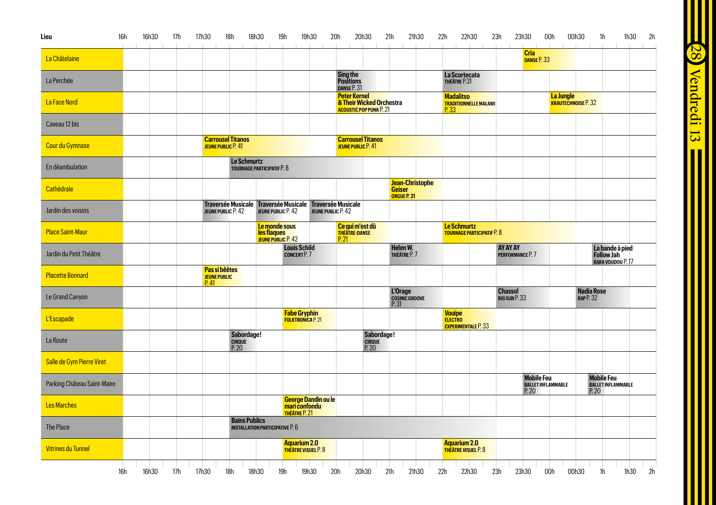| Lieu                        | <b>16h</b> | 16h30 | 17h | 17h30<br><b>COLL</b> | 18h                                                                            | 18h30                                  | 19h                                                              | 19h30                                                          | 20h                                              | 20h30                                                      | 21h                                                    | 21h30 | 22h                                                           | 22h30                             | 23h<br>$\mathbb{R}$<br>$\mathbb{R}$ | 23h30<br>and the first                | 00h<br>$\sim 10^{-1}$<br>The Control | 00h30                                | 1h<br>$\sim$                                       | 2h<br>1h30<br><b>Contract Contract</b> |  |
|-----------------------------|------------|-------|-----|----------------------|--------------------------------------------------------------------------------|----------------------------------------|------------------------------------------------------------------|----------------------------------------------------------------|--------------------------------------------------|------------------------------------------------------------|--------------------------------------------------------|-------|---------------------------------------------------------------|-----------------------------------|-------------------------------------|---------------------------------------|--------------------------------------|--------------------------------------|----------------------------------------------------|----------------------------------------|--|
| La Châtelaine               |            |       |     |                      |                                                                                |                                        |                                                                  |                                                                |                                                  |                                                            |                                                        |       |                                                               |                                   |                                     | <b>Cria</b><br>DANSE <sub>P.</sub> 33 |                                      |                                      |                                                    |                                        |  |
| La Perchée                  |            |       |     |                      |                                                                                |                                        |                                                                  |                                                                | <b>Sing the<br/>Positions</b><br>DANSE P. 31     |                                                            |                                                        |       | La Scortecata<br>THÉÂTRE P.31                                 |                                   |                                     |                                       |                                      |                                      |                                                    |                                        |  |
| La Face Nord                |            |       |     |                      |                                                                                |                                        |                                                                  |                                                                | <b>Peter Kernel</b>                              | & Their Wicked Orchestra<br><b>ACOUSTIC POP PUNK P. 21</b> |                                                        |       | <b>Madalitso</b><br>P.33                                      | <b>TRADITIONNELLE MALAWI</b>      |                                     |                                       | La Jungle                            | <b>KRAUTECHNOISE P. 32</b>           |                                                    |                                        |  |
| Caveau 12 bis               |            |       |     |                      |                                                                                |                                        |                                                                  |                                                                |                                                  |                                                            |                                                        |       |                                                               |                                   |                                     |                                       |                                      |                                      |                                                    |                                        |  |
| Cour du Gymnase             |            |       |     |                      | <b>Carrousel Titanos</b><br>JEUNE PUBLIC P. 41                                 |                                        |                                                                  |                                                                | <b>Carrousel Titanos</b><br>JEUNE PUBLIC P. 41   |                                                            |                                                        |       |                                                               |                                   |                                     |                                       |                                      |                                      |                                                    |                                        |  |
| En déambulation             |            |       |     |                      | Le Schmurtz                                                                    | <b>TOURNAGE PARTICIPATIF P. 8</b>      |                                                                  |                                                                |                                                  |                                                            |                                                        |       |                                                               |                                   |                                     |                                       |                                      |                                      |                                                    |                                        |  |
| Cathédrale                  |            |       |     |                      |                                                                                |                                        |                                                                  |                                                                |                                                  |                                                            | <b>Jean-Christophe</b><br><b>Geiser</b><br>ORGUE P. 31 |       |                                                               |                                   |                                     |                                       |                                      |                                      |                                                    |                                        |  |
| Jardin des voisins          |            |       |     |                      | Traversée Musicale Traversée Musicale Traversée Musicale<br>JEUNE PUBLIC P. 42 |                                        | JEUNE PUBLIC P. 42                                               |                                                                | JEUNE PUBLIC P. 42                               |                                                            |                                                        |       |                                                               |                                   |                                     |                                       |                                      |                                      |                                                    |                                        |  |
| <b>Place Saint-Maur</b>     |            |       |     |                      |                                                                                |                                        | Le monde sous<br><b>les flaques</b><br><b>JEUNE PUBLIC P. 42</b> |                                                                | Ce qui m'est dû<br><b>THÉÂTRE-DANSE</b><br>P. 21 |                                                            |                                                        |       | Le Schmurtz                                                   | <b>TOURNAGE PARTICIPATIF P. 8</b> |                                     |                                       |                                      |                                      |                                                    |                                        |  |
| Jardin du Petit Théâtre     |            |       |     |                      |                                                                                |                                        | <b>Louis Schild</b><br><b>CONCERT P. 7</b>                       |                                                                |                                                  |                                                            | Helen W.<br>THÉÂTRE P. 7                               |       |                                                               |                                   | AY AY AY<br>PERFORMANCE P. 7        |                                       |                                      |                                      | La bande à pied<br>Follow Jah<br>RARA VOUDOU P. 17 |                                        |  |
| <b>Placette Bonnard</b>     |            |       |     | P.41                 | Pas si bêêtes<br><b>JEUNE PUBLIC</b>                                           |                                        |                                                                  |                                                                |                                                  |                                                            |                                                        |       |                                                               |                                   |                                     |                                       |                                      |                                      |                                                    |                                        |  |
| Le Grand Canyon             |            |       |     |                      |                                                                                |                                        |                                                                  |                                                                |                                                  |                                                            | L'Orage<br><b>COSMIC GROOVE</b><br>P.31                |       |                                                               |                                   | <b>Chassol</b><br>BIG SUN P. 33     |                                       |                                      | <b>Nadia Rose</b><br><b>RAP P.32</b> |                                                    |                                        |  |
| <b>L'Escapade</b>           |            |       |     |                      |                                                                                |                                        | <b>Fabe Gryphin</b>                                              | <b>FOLKTRONICA P. 21</b>                                       |                                                  |                                                            |                                                        |       | <b>Vouipe</b><br><b>ELECTRO</b><br><b>EXPERIMENTALE P. 33</b> |                                   |                                     |                                       |                                      |                                      |                                                    |                                        |  |
| La Route                    |            |       |     |                      | Sabordage!<br>CIRQUE<br>P. 20                                                  |                                        |                                                                  |                                                                |                                                  | Sabordage!<br>CIRQUE<br>P. 20                              |                                                        |       |                                                               |                                   |                                     |                                       |                                      |                                      |                                                    |                                        |  |
| Salle de Gym Pierre Viret   |            |       |     |                      |                                                                                |                                        |                                                                  |                                                                |                                                  |                                                            |                                                        |       |                                                               |                                   |                                     |                                       |                                      |                                      |                                                    |                                        |  |
| Parking Château Saint-Maire |            |       |     |                      |                                                                                |                                        |                                                                  |                                                                |                                                  |                                                            |                                                        |       |                                                               |                                   |                                     | <b>Mobile Feu</b><br>P. 20            | <b>BALLET INFLAMMABLE</b>            | P. 20                                | <b>Mobile Feu</b><br><b>BALLET INFLAMMABLE</b>     |                                        |  |
| <b>Les Marches</b>          |            |       |     |                      |                                                                                |                                        |                                                                  | <b>George Dandin ou le<br/>mari confondu<br/>THÉÂTRE P. 21</b> |                                                  |                                                            |                                                        |       |                                                               |                                   |                                     |                                       |                                      |                                      |                                                    |                                        |  |
| The Place                   |            |       |     |                      | <b>Bains Publics</b>                                                           | <b>INSTALLATION PARTICIPATIVE P. 6</b> |                                                                  |                                                                |                                                  |                                                            |                                                        |       |                                                               |                                   |                                     |                                       |                                      |                                      |                                                    |                                        |  |
| <b>Vitrines du Tunnel</b>   |            |       |     |                      |                                                                                |                                        |                                                                  | Aguarium 2.0<br><b>THÉÂTRE VISUEL P. 8</b>                     |                                                  |                                                            |                                                        |       | Aquarium 2.0<br><b>THÉÂTRE VISUEL P. 8</b>                    |                                   |                                     |                                       |                                      |                                      |                                                    |                                        |  |

**28** Vendredi 13 **Communisment Communisment**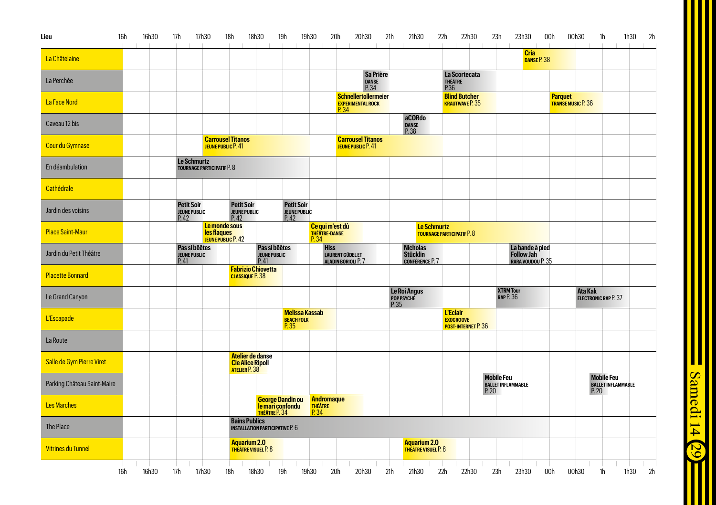| Lieu                        | <b>16h</b> | 16h30 | 17h                                              | 17h30                             | 18h                                                            | 18h30                                         | 19h                                                            | 20h<br>19h30                                    |                                                                 | 20h30                       | 21h                                | 21h30                                                        | 22h                                 | 22h30                                          |      | 23h                                            | 23h30                                                     | 00h | 00h30                                       |                | 1 <sub>h</sub>                                 | 1h30 | 2h |
|-----------------------------|------------|-------|--------------------------------------------------|-----------------------------------|----------------------------------------------------------------|-----------------------------------------------|----------------------------------------------------------------|-------------------------------------------------|-----------------------------------------------------------------|-----------------------------|------------------------------------|--------------------------------------------------------------|-------------------------------------|------------------------------------------------|------|------------------------------------------------|-----------------------------------------------------------|-----|---------------------------------------------|----------------|------------------------------------------------|------|----|
| La Châtelaine               |            |       |                                                  |                                   |                                                                |                                               |                                                                |                                                 |                                                                 |                             |                                    |                                                              |                                     |                                                |      |                                                | <b>Cria</b><br>DANSE P. 38                                |     |                                             |                |                                                |      |    |
| La Perchée                  |            |       |                                                  |                                   |                                                                |                                               |                                                                |                                                 |                                                                 | Sa Prière<br>DANSE<br>P. 34 |                                    |                                                              | <b>THÉÂTRE</b><br>P.36              | La Scortecata                                  |      |                                                |                                                           |     |                                             |                |                                                |      |    |
| La Face Nord                |            |       |                                                  |                                   |                                                                |                                               |                                                                |                                                 | <b>Schnellertollermeier</b><br><b>EXPERIMENTAL ROCK</b><br>P.34 |                             |                                    |                                                              |                                     | <b>Blind Butcher</b><br><b>KRAUTWAVE P. 35</b> |      |                                                |                                                           |     | <b>Parquet</b><br><b>TRANSE MUSIC P. 36</b> |                |                                                |      |    |
| Caveau 12 bis               |            |       |                                                  |                                   |                                                                |                                               |                                                                |                                                 |                                                                 |                             | P.38                               | aCORdo<br><b>DANSE</b>                                       |                                     |                                                |      |                                                |                                                           |     |                                             |                |                                                |      |    |
| <b>Cour du Gymnase</b>      |            |       |                                                  |                                   | <b>Carrousel Titanos</b><br>JEUNE PUBLIC P. 41                 |                                               |                                                                |                                                 | <b>Carrousel Titanos</b><br>JEUNE PUBLIC P. 41                  |                             |                                    |                                                              |                                     |                                                |      |                                                |                                                           |     |                                             |                |                                                |      |    |
| En déambulation             |            |       | <b>Le Schmurtz</b>                               | <b>TOURNAGE PARTICIPATIF P. 8</b> |                                                                |                                               |                                                                |                                                 |                                                                 |                             |                                    |                                                              |                                     |                                                |      |                                                |                                                           |     |                                             |                |                                                |      |    |
| Cathédrale                  |            |       |                                                  |                                   |                                                                |                                               |                                                                |                                                 |                                                                 |                             |                                    |                                                              |                                     |                                                |      |                                                |                                                           |     |                                             |                |                                                |      |    |
| Jardin des voisins          |            |       | <b>Petit Soir</b><br><b>JEUNE PUBLIC</b><br>P.42 |                                   | <b>Petit Soir</b><br><b>JEUNE PUBLIC</b><br>P.42               |                                               | <b>Petit Soir</b><br><b>JEUNE PUBLIC</b><br>P.42               |                                                 |                                                                 |                             |                                    |                                                              |                                     |                                                |      |                                                |                                                           |     |                                             |                |                                                |      |    |
| <b>Place Saint-Maur</b>     |            |       |                                                  | les flaques                       | Le monde sous<br><b>JEUNE PUBLIC P. 42</b>                     |                                               |                                                                | Ce qui m'est dû<br><b>THÉÂTRE-DANSE</b><br>P.34 |                                                                 |                             |                                    | <b>Le Schmurtz</b>                                           | <b>TOURNAGE PARTICIPATIF P. 8</b>   |                                                |      |                                                |                                                           |     |                                             |                |                                                |      |    |
| Jardin du Petit Théâtre     |            |       | Pas si bêêtes<br><b>JEUNE PUBLIC</b><br>P.41     |                                   |                                                                | Pas si bêêtes<br><b>JEUNE PUBLIC</b><br>P. 41 |                                                                | <b>Hiss</b>                                     | <b>LAURENT GÜDEL ET</b><br>ALADIN BORIOLI P. 7                  |                             |                                    | <b>Nicholas</b><br><b>Stücklin</b><br><b>CONFÉRENCE P. 7</b> |                                     |                                                |      |                                                | La bande à pied<br><b>Follow Jah</b><br>RARA VOUDOU P. 35 |     |                                             |                |                                                |      |    |
| <b>Placette Bonnard</b>     |            |       |                                                  |                                   | <b>Fabrizio Chiovetta</b><br><b>CLASSIQUE P.38</b>             |                                               |                                                                |                                                 |                                                                 |                             |                                    |                                                              |                                     |                                                |      |                                                |                                                           |     |                                             |                |                                                |      |    |
| Le Grand Canyon             |            |       |                                                  |                                   |                                                                |                                               |                                                                |                                                 |                                                                 |                             | Le Roi Angus<br>Pop PSYCHÉ<br>P.35 |                                                              |                                     |                                                |      | <b>XTRM Tour</b><br><b>RAP P.36</b>            |                                                           |     |                                             | <b>Ata Kak</b> | <b>ELECTRONIC RAP P. 37</b>                    |      |    |
| <b>L'Escapade</b>           |            |       |                                                  |                                   |                                                                |                                               | <b>Melissa Kassab</b><br><b>BEACH FOLK</b><br>P.35             |                                                 |                                                                 |                             |                                    |                                                              | <b>L'Eclair</b><br><b>EXOGROOVE</b> | <b>POST-INTERNET P.36</b>                      |      |                                                |                                                           |     |                                             |                |                                                |      |    |
| La Route                    |            |       |                                                  |                                   |                                                                |                                               |                                                                |                                                 |                                                                 |                             |                                    |                                                              |                                     |                                                |      |                                                |                                                           |     |                                             |                |                                                |      |    |
| Salle de Gym Pierre Viret   |            |       |                                                  |                                   | Atelier de danse<br><b>Cie Alice Ripoll<br/>ATELIER P. 38</b>  |                                               |                                                                |                                                 |                                                                 |                             |                                    |                                                              |                                     |                                                |      |                                                |                                                           |     |                                             |                |                                                |      |    |
| Parking Château Saint-Maire |            |       |                                                  |                                   |                                                                |                                               |                                                                |                                                 |                                                                 |                             |                                    |                                                              |                                     |                                                | P.20 | <b>Mobile Feu</b><br><b>BALLET INFLAMMABLE</b> |                                                           |     |                                             | P.20           | <b>Mobile Feu</b><br><b>BALLET INFLAMMABLE</b> |      |    |
| <b>Les Marches</b>          |            |       |                                                  |                                   |                                                                |                                               | <b>George Dandin ou<br/>le mari confondu<br/>THÉÂTRE P. 34</b> | <b>Andromaque</b><br><b>THÉÂTRE</b><br>P.34     |                                                                 |                             |                                    |                                                              |                                     |                                                |      |                                                |                                                           |     |                                             |                |                                                |      |    |
| The Place                   |            |       |                                                  |                                   | <b>Bains Publics</b><br><b>INSTALLATION PARTICIPATIVE P. 6</b> |                                               |                                                                |                                                 |                                                                 |                             |                                    |                                                              |                                     |                                                |      |                                                |                                                           |     |                                             |                |                                                |      |    |
| <b>Vitrines du Tunnel</b>   |            |       |                                                  |                                   | Aquarium 2.0<br><b>THÉÂTRE VISUEL P. 8</b>                     |                                               |                                                                |                                                 |                                                                 |                             |                                    | <b>Aquarium 2.0</b><br>THÉÂTRE VISUEL P. 8                   |                                     |                                                |      |                                                |                                                           |     |                                             |                |                                                |      |    |